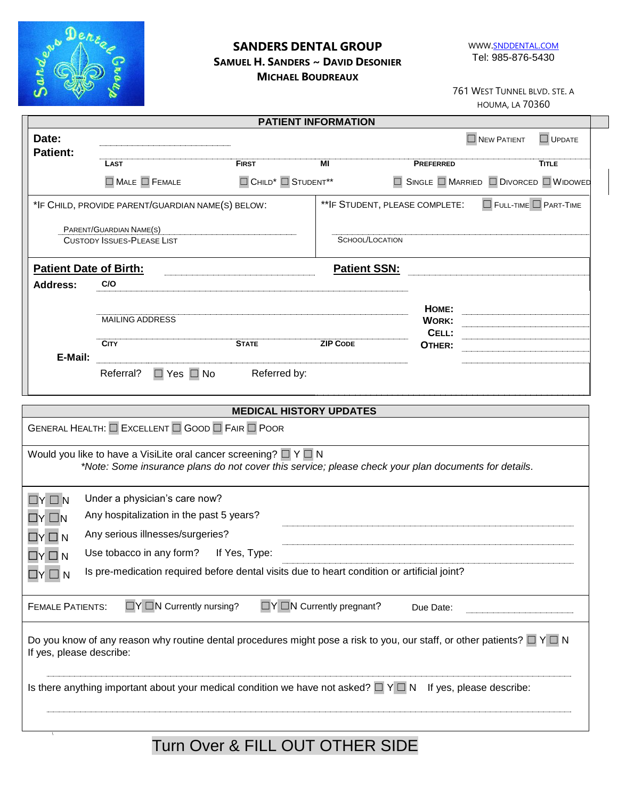

### **SANDERS DENTAL GROUP**

**SAMUEL H. SANDERS ~ DAVID DESONIER**

WWW.SNDDENTAL.COM Tel: 985-876-5430

#### **MICHAEL BOUDREAUX**

761 WEST TUNNEL BLVD. STE. A HOUMA, LA 70360

|                               |                                                                                                                                                                                        |                                          | <b>PATIENT INFORMATION</b>          |                                                             |                     |               |
|-------------------------------|----------------------------------------------------------------------------------------------------------------------------------------------------------------------------------------|------------------------------------------|-------------------------------------|-------------------------------------------------------------|---------------------|---------------|
| Date:<br><b>Patient:</b>      |                                                                                                                                                                                        |                                          |                                     |                                                             | $\Box$ NEW PATIENT  | $\Box$ UPDATE |
|                               | LAST                                                                                                                                                                                   | <b>FIRST</b>                             | ΜI                                  | <b>PREFERRED</b>                                            |                     | <b>TITLE</b>  |
|                               | $\Box$ MALE $\Box$ FEMALE                                                                                                                                                              | CHILD <sup>*</sup> STUDENT <sup>**</sup> |                                     | $\Box$ Single $\Box$ Married $\Box$ Divorced $\Box$ Widowed |                     |               |
|                               | *IF CHILD, PROVIDE PARENT/GUARDIAN NAME(S) BELOW:                                                                                                                                      |                                          | ** IF STUDENT, PLEASE COMPLETE:     |                                                             | FULL-TIME PART-TIME |               |
|                               | PARENT/GUARDIAN NAME(S)<br><b>CUSTODY ISSUES-PLEASE LIST</b>                                                                                                                           |                                          | SCHOOL/LOCATION                     |                                                             |                     |               |
| <b>Patient Date of Birth:</b> |                                                                                                                                                                                        |                                          | <b>Patient SSN:</b>                 |                                                             |                     |               |
| <b>Address:</b>               | C/O                                                                                                                                                                                    |                                          |                                     |                                                             |                     |               |
|                               | <b>MAILING ADDRESS</b>                                                                                                                                                                 |                                          |                                     | HOME:<br><b>WORK:</b><br>CELL:                              |                     |               |
|                               | <b>CITY</b>                                                                                                                                                                            | <b>STATE</b>                             | <b>ZIP CODE</b>                     | OTHER:                                                      |                     |               |
| E-Mail:                       | Referral?<br>$\Box$ Yes $\Box$ No                                                                                                                                                      | Referred by:                             |                                     |                                                             |                     |               |
|                               |                                                                                                                                                                                        | <b>MEDICAL HISTORY UPDATES</b>           |                                     |                                                             |                     |               |
|                               | <b>GENERAL HEALTH: O EXCELLENT O GOOD O FAIR O POOR</b>                                                                                                                                |                                          |                                     |                                                             |                     |               |
|                               | Would you like to have a VisiLite oral cancer screening? $\square Y \square N$<br>*Note: Some insurance plans do not cover this service; please check your plan documents for details. |                                          |                                     |                                                             |                     |               |
| $\Box$ Y $\Box$ N             | Under a physician's care now?                                                                                                                                                          |                                          |                                     |                                                             |                     |               |
| $\Box$ y $\Box$ n             | Any hospitalization in the past 5 years?                                                                                                                                               |                                          |                                     |                                                             |                     |               |
| $\Box N$                      | Any serious illnesses/surgeries?                                                                                                                                                       |                                          |                                     |                                                             |                     |               |
| LI N                          | Use tobacco in any form?                                                                                                                                                               | If Yes, Type:                            |                                     |                                                             |                     |               |
| $\Box Y \Box N$               | Is pre-medication required before dental visits due to heart condition or artificial joint?                                                                                            |                                          |                                     |                                                             |                     |               |
| <b>FEMALE PATIENTS:</b>       | $\Box Y \Box N$ Currently nursing?                                                                                                                                                     |                                          | $\Box Y \Box N$ Currently pregnant? | Due Date:                                                   |                     |               |
| If yes, please describe:      | Do you know of any reason why routine dental procedures might pose a risk to you, our staff, or other patients? $\Box$ Y $\Box$ N                                                      |                                          |                                     |                                                             |                     |               |
|                               | Is there anything important about your medical condition we have not asked? $\Box \lor \Box N$ If yes, please describe:                                                                |                                          |                                     |                                                             |                     |               |
|                               |                                                                                                                                                                                        |                                          |                                     |                                                             |                     |               |
|                               |                                                                                                                                                                                        | Turn Over & FILL OUT OTHER SIDE          |                                     |                                                             |                     |               |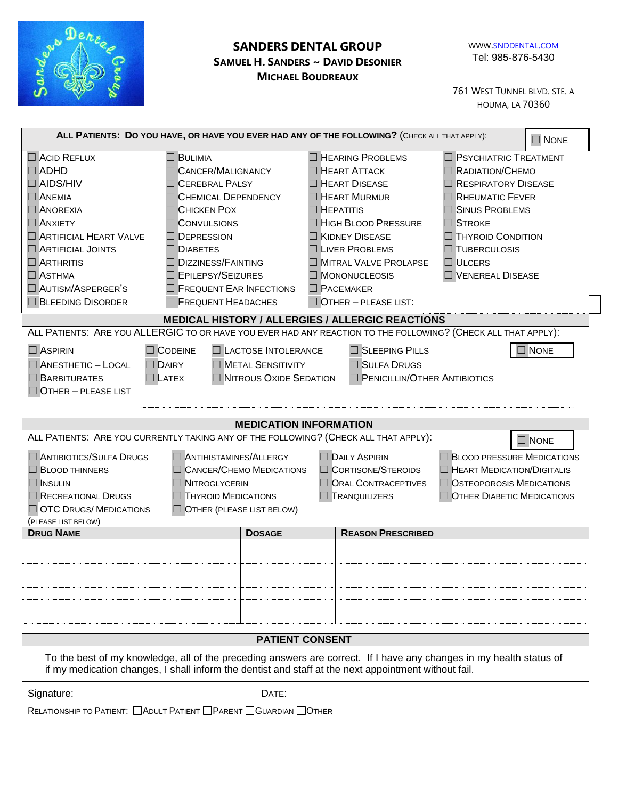

# **SANDERS DENTAL GROUP SAMUEL H. SANDERS ~ DAVID DESONIER MICHAEL BOUDREAUX**

761 WEST TUNNEL BLVD. STE. A HOUMA, LA 70360

| ALL PATIENTS: DO YOU HAVE, OR HAVE YOU EVER HAD ANY OF THE FOLLOWING? (CHECK ALL THAT APPLY):                                                                                                                                                                                                                                                                                                                                                                                                                                                                    |                                                                                         |                                                                                                                                                                                                                                                                                                |                                                                                                                                                                                                                               | $\Box$ NONE |
|------------------------------------------------------------------------------------------------------------------------------------------------------------------------------------------------------------------------------------------------------------------------------------------------------------------------------------------------------------------------------------------------------------------------------------------------------------------------------------------------------------------------------------------------------------------|-----------------------------------------------------------------------------------------|------------------------------------------------------------------------------------------------------------------------------------------------------------------------------------------------------------------------------------------------------------------------------------------------|-------------------------------------------------------------------------------------------------------------------------------------------------------------------------------------------------------------------------------|-------------|
| $\Box$ ACID REFLUX<br>$\Box$ BULIMIA<br>$\Box$ ADHD<br>CANCER/MALIGNANCY<br>$\Box$ AIDS/HIV<br><b>CEREBRAL PALSY</b><br><b>ANEMIA</b><br>CHEMICAL DEPENDENCY<br><b>NOREXIA</b><br>$\Box$ CHICKEN POX<br><b>NANXIETY</b><br><b>CONVULSIONS</b><br>$\Box$ Artificial Heart Valve<br><b>DEPRESSION</b><br>$\Box$ ARTIFICIAL JOINTS<br><b>DIABETES</b><br>$\Box$ ARTHRITIS<br><b>DIZZINESS/FAINTING</b><br><b>EPILEPSY/SEIZURES</b><br>$\Box$ Asthma<br>AUTISM/ASPERGER'S<br>$\Box$ FREQUENT EAR INFECTIONS<br><b>BLEEDING DISORDER</b><br>$\Box$ FREQUENT HEADACHES |                                                                                         | <b>HEARING PROBLEMS</b><br>$\Box$ HEART ATTACK<br>$\Box$ HEART DISEASE<br>$\Box$ HEART MURMUR<br>$\Box$ HEPATITIS<br>HIGH BLOOD PRESSURE<br><b>KIDNEY DISEASE</b><br><b>LIVER PROBLEMS</b><br>MITRAL VALVE PROLAPSE<br>$\Box$ MONONUCLEOSIS<br>$\Box$ PACEMAKER<br>$\Box$ OTHER - PLEASE LIST: | $\Box$ PSYCHIATRIC TREATMENT<br>RADIATION/CHEMO<br>RESPIRATORY DISEASE<br>RHEUMATIC FEVER<br>SINUS PROBLEMS<br>$\Box$ Stroke<br><b>THYROID CONDITION</b><br><b>TUBERCULOSIS</b><br>$\Box$ ULCERS<br><b>U</b> VENEREAL DISEASE |             |
|                                                                                                                                                                                                                                                                                                                                                                                                                                                                                                                                                                  |                                                                                         | <b>MEDICAL HISTORY / ALLERGIES / ALLERGIC REACTIONS</b>                                                                                                                                                                                                                                        |                                                                                                                                                                                                                               |             |
| ALL PATIENTS: ARE YOU ALLERGIC TO OR HAVE YOU EVER HAD ANY REACTION TO THE FOLLOWING? (CHECK ALL THAT APPLY):<br>$\square$ Aspirin<br>$\Box$ CODEINE<br>$\Box$ ANESTHETIC - LOCAL<br>$\Box$ DAIRY<br><b>BARBITURATES</b><br>$\Box$ LATEX<br>$\Box$ OTHER - PLEASE LIST                                                                                                                                                                                                                                                                                           | $\Box$ LACTOSE INTOLERANCE<br><b>NETAL SENSITIVITY</b><br>$\Box$ NITROUS OXIDE SEDATION | SLEEPING PILLS<br>SULFA DRUGS<br>PENICILLIN/OTHER ANTIBIOTICS                                                                                                                                                                                                                                  |                                                                                                                                                                                                                               | $\Box$ None |
|                                                                                                                                                                                                                                                                                                                                                                                                                                                                                                                                                                  | <b>MEDICATION INFORMATION</b>                                                           |                                                                                                                                                                                                                                                                                                |                                                                                                                                                                                                                               |             |
| ALL PATIENTS: ARE YOU CURRENTLY TAKING ANY OF THE FOLLOWING? (CHECK ALL THAT APPLY):<br>ANTIHISTAMINES/ALLERGY<br>ANTIBIOTICS/SULFA DRUGS<br>$\Box$ CANCER/CHEMO MEDICATIONS<br><b>BLOOD THINNERS</b><br><b>NITROGLYCERIN</b><br>$\Box$ Insulin<br>RECREATIONAL DRUGS<br>$\Box$ THYROID MEDICATIONS<br><b>OTC DRUGS/ MEDICATIONS</b><br>$\Box$ OTHER (PLEASE LIST BELOW)<br>(PLEASE LIST BELOW)                                                                                                                                                                  |                                                                                         | $\Box$ DAILY ASPIRIN<br>CORTISONE/STEROIDS<br>ORAL CONTRACEPTIVES<br><b>TRANQUILIZERS</b>                                                                                                                                                                                                      | $\Box$ BLOOD PRESSURE MEDICATIONS<br>$\Box$ HEART MEDICATION/DIGITALIS<br>$\Box$ OSTEOPOROSIS MEDICATIONS<br>OTHER DIABETIC MEDICATIONS                                                                                       | $\Box$ NONE |
| <b>DRUG NAME</b>                                                                                                                                                                                                                                                                                                                                                                                                                                                                                                                                                 | <b>DOSAGE</b>                                                                           | <b>REASON PRESCRIBED</b>                                                                                                                                                                                                                                                                       |                                                                                                                                                                                                                               |             |
|                                                                                                                                                                                                                                                                                                                                                                                                                                                                                                                                                                  |                                                                                         |                                                                                                                                                                                                                                                                                                |                                                                                                                                                                                                                               |             |
|                                                                                                                                                                                                                                                                                                                                                                                                                                                                                                                                                                  | <b>PATIENT CONSENT</b>                                                                  |                                                                                                                                                                                                                                                                                                |                                                                                                                                                                                                                               |             |
| To the best of my knowledge, all of the preceding answers are correct. If I have any changes in my health status of<br>if my medication changes, I shall inform the dentist and staff at the next appointment without fail.                                                                                                                                                                                                                                                                                                                                      |                                                                                         |                                                                                                                                                                                                                                                                                                |                                                                                                                                                                                                                               |             |
| Signature:<br>RELATIONSHIP TO PATIENT: ADULT PATIENT PARENT GUARDIAN OTHER                                                                                                                                                                                                                                                                                                                                                                                                                                                                                       | DATE:                                                                                   |                                                                                                                                                                                                                                                                                                |                                                                                                                                                                                                                               |             |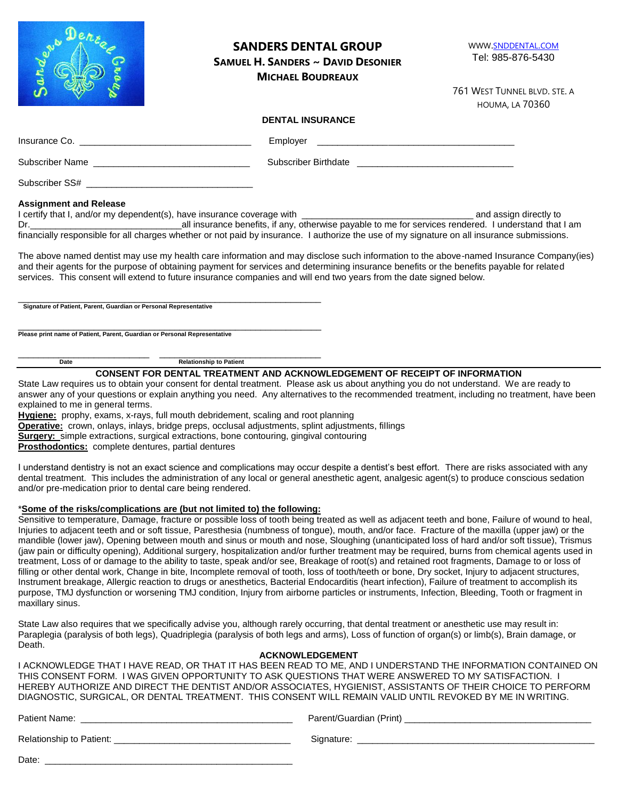| <b>DENTAL INSURANCE</b><br>Insurance Co. <u>_______________________________</u><br>Employer<br><u> 1990 - Johann John Stein, marwolaeth a bhann an t-Amhainn an t-Amhainn an t-Amhainn an t-Amhainn an t-Amhain</u> | Sar | WWW.SNDDENTAL.COM<br>Tel: 985-876-5430<br><b>SAMUEL H. SANDERS ~ DAVID DESONIER</b><br>761 WEST TUNNEL BLVD. STE. A |  |
|---------------------------------------------------------------------------------------------------------------------------------------------------------------------------------------------------------------------|-----|---------------------------------------------------------------------------------------------------------------------|--|
|                                                                                                                                                                                                                     |     | <b>HOUMA, LA 70360</b>                                                                                              |  |
|                                                                                                                                                                                                                     |     |                                                                                                                     |  |
|                                                                                                                                                                                                                     |     |                                                                                                                     |  |
|                                                                                                                                                                                                                     |     |                                                                                                                     |  |
|                                                                                                                                                                                                                     |     |                                                                                                                     |  |

#### **Assignment and Release**

I certify that I, and/or my dependent(s), have insurance coverage with \_\_\_\_\_\_\_\_\_\_\_\_\_\_\_\_\_\_\_\_\_\_\_\_\_\_\_\_\_\_\_\_\_\_ and assign directly to Dr.\_\_\_\_\_\_\_\_\_\_\_\_\_\_\_\_\_\_\_\_\_\_\_\_\_\_\_\_\_\_all insurance benefits, if any, otherwise payable to me for services rendered. I understand that I am financially responsible for all charges whether or not paid by insurance. I authorize the use of my signature on all insurance submissions.

The above named dentist may use my health care information and may disclose such information to the above-named Insurance Company(ies) and their agents for the purpose of obtaining payment for services and determining insurance benefits or the benefits payable for related services. This consent will extend to future insurance companies and will end two years from the date signed below.

\_\_\_\_\_\_\_\_\_\_\_\_\_\_\_\_\_\_\_\_\_\_\_\_\_\_\_\_\_\_\_\_\_\_\_\_\_\_\_\_\_\_\_\_\_\_\_\_\_\_\_\_\_\_\_\_\_\_\_\_ **Signature of Patient, Parent, Guardian or Personal Representative**

\_\_\_\_\_\_\_\_\_\_\_\_\_\_\_\_\_\_\_\_\_\_\_\_\_\_\_\_\_\_\_\_\_\_\_\_\_\_\_\_\_\_\_\_\_\_\_\_\_\_\_\_\_\_\_\_\_\_\_\_ **Please print name of Patient, Parent, Guardian or Personal Representative**

Date **Date** Relationship to Patient

\_\_\_\_\_\_\_\_\_\_\_\_\_\_\_\_\_\_\_\_\_\_\_\_\_\_ \_\_\_\_\_\_\_\_\_\_\_\_\_\_\_\_\_\_\_\_\_\_\_\_\_\_\_\_\_\_\_\_

**CONSENT FOR DENTAL TREATMENT AND ACKNOWLEDGEMENT OF RECEIPT OF INFORMATION**

State Law requires us to obtain your consent for dental treatment. Please ask us about anything you do not understand. We are ready to answer any of your questions or explain anything you need. Any alternatives to the recommended treatment, including no treatment, have been explained to me in general terms.

**Hygiene:** prophy, exams, x-rays, full mouth debridement, scaling and root planning

**Operative:** crown, onlays, inlays, bridge preps, occlusal adjustments, splint adjustments, fillings

**Surgery:** simple extractions, surgical extractions, bone contouring, gingival contouring

**Prosthodontics:** complete dentures, partial dentures

I understand dentistry is not an exact science and complications may occur despite a dentist's best effort. There are risks associated with any dental treatment. This includes the administration of any local or general anesthetic agent, analgesic agent(s) to produce conscious sedation and/or pre-medication prior to dental care being rendered.

#### \***Some of the risks/complications are (but not limited to) the following:**

Sensitive to temperature, Damage, fracture or possible loss of tooth being treated as well as adiacent teeth and bone. Failure of wound to heal, Injuries to adjacent teeth and or soft tissue, Paresthesia (numbness of tongue), mouth, and/or face. Fracture of the maxilla (upper jaw) or the mandible (lower jaw), Opening between mouth and sinus or mouth and nose, Sloughing (unanticipated loss of hard and/or soft tissue), Trismus (jaw pain or difficulty opening), Additional surgery, hospitalization and/or further treatment may be required, burns from chemical agents used in treatment, Loss of or damage to the ability to taste, speak and/or see, Breakage of root(s) and retained root fragments, Damage to or loss of filling or other dental work, Change in bite, Incomplete removal of tooth, loss of tooth/teeth or bone, Dry socket, Injury to adjacent structures, Instrument breakage, Allergic reaction to drugs or anesthetics, Bacterial Endocarditis (heart infection), Failure of treatment to accomplish its purpose, TMJ dysfunction or worsening TMJ condition, Injury from airborne particles or instruments, Infection, Bleeding, Tooth or fragment in maxillary sinus.

State Law also requires that we specifically advise you, although rarely occurring, that dental treatment or anesthetic use may result in: Paraplegia (paralysis of both legs), Quadriplegia (paralysis of both legs and arms), Loss of function of organ(s) or limb(s), Brain damage, or Death.

#### **ACKNOWLEDGEMENT**

I ACKNOWLEDGE THAT I HAVE READ, OR THAT IT HAS BEEN READ TO ME, AND I UNDERSTAND THE INFORMATION CONTAINED ON THIS CONSENT FORM. I WAS GIVEN OPPORTUNITY TO ASK QUESTIONS THAT WERE ANSWERED TO MY SATISFACTION. I HEREBY AUTHORIZE AND DIRECT THE DENTIST AND/OR ASSOCIATES, HYGIENIST, ASSISTANTS OF THEIR CHOICE TO PERFORM DIAGNOSTIC, SURGICAL, OR DENTAL TREATMENT. THIS CONSENT WILL REMAIN VALID UNTIL REVOKED BY ME IN WRITING.

Date:

Patient Name: \_\_\_\_\_\_\_\_\_\_\_\_\_\_\_\_\_\_\_\_\_\_\_\_\_\_\_\_\_\_\_\_\_\_\_\_\_\_\_\_\_\_ Parent/Guardian (Print) \_\_\_\_\_\_\_\_\_\_\_\_\_\_\_\_\_\_\_\_\_\_\_\_\_\_\_\_\_\_\_\_\_\_\_\_\_

Relationship to Patient: \_\_\_\_\_\_\_\_\_\_\_\_\_\_\_\_\_\_\_\_\_\_\_\_\_\_\_\_\_\_\_\_\_\_\_ Signature: \_\_\_\_\_\_\_\_\_\_\_\_\_\_\_\_\_\_\_\_\_\_\_\_\_\_\_\_\_\_\_\_\_\_\_\_\_\_\_\_\_\_\_\_\_\_\_